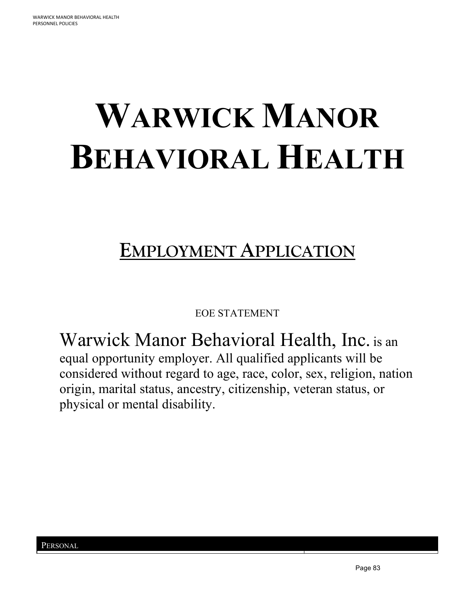# **WARWICK MANOR BEHAVIORAL HEALTH**

# **EMPLOYMENT APPLICATION**

EOE STATEMENT

Warwick Manor Behavioral Health, Inc. is an equal opportunity employer. All qualified applicants will be considered without regard to age, race, color, sex, religion, nation origin, marital status, ancestry, citizenship, veteran status, or physical or mental disability.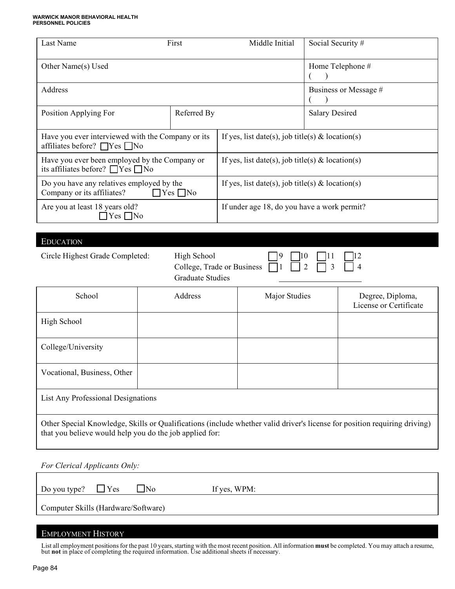# **WARWICK MANOR BEHAVIORAL HEALTH PERSONNEL POLICIES**

| Last Name<br>First                                                                              |             | Middle Initial                                   | Social Security #         |                                            |
|-------------------------------------------------------------------------------------------------|-------------|--------------------------------------------------|---------------------------|--------------------------------------------|
| Other Name(s) Used                                                                              |             |                                                  | Home Telephone #          |                                            |
| Address                                                                                         |             |                                                  |                           | Business or Message #                      |
| Position Applying For                                                                           | Referred By |                                                  | <b>Salary Desired</b>     |                                            |
| Have you ever interviewed with the Company or its<br>affiliates before? □ Yes □ No              |             | If yes, list date(s), job title(s) & location(s) |                           |                                            |
| Have you ever been employed by the Company or<br>its affiliates before? $\Box$ Yes $\Box$ No    |             | If yes, list date(s), job title(s) & location(s) |                           |                                            |
| Do you have any relatives employed by the<br>Company or its affiliates?<br>$\Box$ Yes $\Box$ No |             | If yes, list date(s), job title(s) & location(s) |                           |                                            |
| Are you at least 18 years old?<br>$\exists$ Yes $\Box$ No                                       |             | If under age 18, do you have a work permit?      |                           |                                            |
|                                                                                                 |             |                                                  |                           |                                            |
| <b>EDUCATION</b>                                                                                |             |                                                  |                           |                                            |
| High School<br>Circle Highest Grade Completed:<br><b>Graduate Studies</b>                       |             | College, Trade or Business                       | 10<br>$\overline{2}$<br>3 | 12<br>$\overline{4}$                       |
| School                                                                                          | Address     | Major Studies                                    |                           | Degree, Diploma,<br>License or Certificate |
| High School                                                                                     |             |                                                  |                           |                                            |
| College/University                                                                              |             |                                                  |                           |                                            |
| Vocational, Business, Other                                                                     |             |                                                  |                           |                                            |
| List Any Professional Designations                                                              |             |                                                  |                           |                                            |

Other Special Knowledge, Skills or Qualifications (include whether valid driver's license for position requiring driving) that you believe would help you do the job applied for:

*For Clerical Applicants Only:*

Do you type?  $\Box$  Yes  $\Box$  No If yes, WPM:

Computer Skills (Hardware/Software)

### EMPLOYMENT HISTORY

List all employment positions for the past 10 years, starting with the most recent position. All information **must** be completed. You may attach a resume, but **not** in place of completing the required information. Use additional sheets if necessary.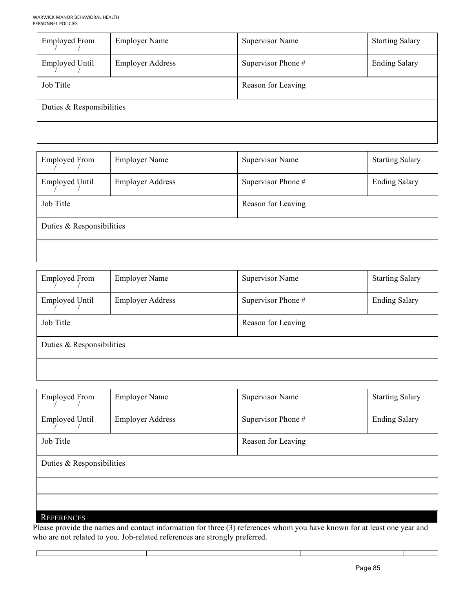| <b>Employed From</b>      | <b>Employer Name</b>    | <b>Supervisor Name</b> | <b>Starting Salary</b> |
|---------------------------|-------------------------|------------------------|------------------------|
| <b>Employed Until</b>     | <b>Employer Address</b> | Supervisor Phone #     | <b>Ending Salary</b>   |
| Job Title                 |                         | Reason for Leaving     |                        |
| Duties & Responsibilities |                         |                        |                        |
|                           |                         |                        |                        |

| <b>Employed From</b>      | <b>Employer Name</b>    | <b>Supervisor Name</b> | <b>Starting Salary</b> |
|---------------------------|-------------------------|------------------------|------------------------|
| <b>Employed Until</b>     | <b>Employer Address</b> | Supervisor Phone #     | <b>Ending Salary</b>   |
| Job Title                 |                         | Reason for Leaving     |                        |
| Duties & Responsibilities |                         |                        |                        |
|                           |                         |                        |                        |

| <b>Employed From</b>      | <b>Employer Name</b>    | <b>Supervisor Name</b> | <b>Starting Salary</b> |
|---------------------------|-------------------------|------------------------|------------------------|
| <b>Employed Until</b>     | <b>Employer Address</b> | Supervisor Phone #     | <b>Ending Salary</b>   |
| Job Title                 |                         | Reason for Leaving     |                        |
| Duties & Responsibilities |                         |                        |                        |
|                           |                         |                        |                        |

| <b>Employed From</b>      | <b>Employer Name</b>    | <b>Supervisor Name</b> | <b>Starting Salary</b> |
|---------------------------|-------------------------|------------------------|------------------------|
| <b>Employed Until</b>     | <b>Employer Address</b> | Supervisor Phone #     | <b>Ending Salary</b>   |
| Job Title                 |                         | Reason for Leaving     |                        |
| Duties & Responsibilities |                         |                        |                        |
|                           |                         |                        |                        |
|                           |                         |                        |                        |
| <b>REFERENCES</b>         |                         |                        |                        |

Please provide the names and contact information for three (3) references whom you have known for at least one year and who are not related to you. Job-related references are strongly preferred.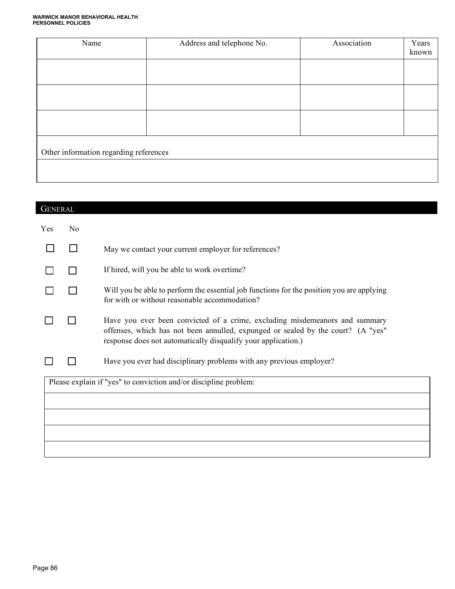# **WARWICK MANOR BEHAVIORAL HEALTH PERSONNEL POLICIES**

| Name                                   | Address and telephone No. | Association | Years<br>known |
|----------------------------------------|---------------------------|-------------|----------------|
|                                        |                           |             |                |
|                                        |                           |             |                |
|                                        |                           |             |                |
| Other information regarding references |                           |             |                |
|                                        |                           |             |                |

| <b>GENERAL</b> |    |                                                                                                                                                                                                                                  |
|----------------|----|----------------------------------------------------------------------------------------------------------------------------------------------------------------------------------------------------------------------------------|
| Yes            | No |                                                                                                                                                                                                                                  |
|                |    | May we contact your current employer for references?                                                                                                                                                                             |
|                |    | If hired, will you be able to work overtime?                                                                                                                                                                                     |
|                |    | Will you be able to perform the essential job functions for the position you are applying<br>for with or without reasonable accommodation?                                                                                       |
|                |    | Have you ever been convicted of a crime, excluding misdemeanors and summary<br>offenses, which has not been annulled, expunged or sealed by the court? (A "yes"<br>response does not automatically disqualify your application.) |
|                |    | Have you ever had disciplinary problems with any previous employer?                                                                                                                                                              |
|                |    | Please explain if "yes" to conviction and/or discipline problem:                                                                                                                                                                 |
|                |    |                                                                                                                                                                                                                                  |
|                |    |                                                                                                                                                                                                                                  |
|                |    |                                                                                                                                                                                                                                  |
|                |    |                                                                                                                                                                                                                                  |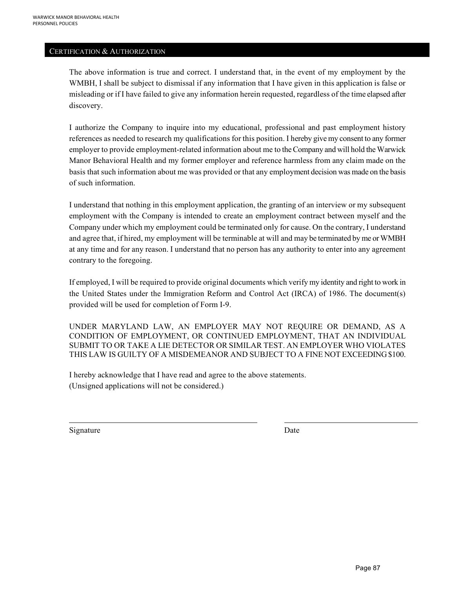#### CERTIFICATION & AUTHORIZATION

The above information is true and correct. I understand that, in the event of my employment by the WMBH, I shall be subject to dismissal if any information that I have given in this application is false or misleading or if I have failed to give any information herein requested, regardless of the time elapsed after discovery.

I authorize the Company to inquire into my educational, professional and past employment history references as needed to research my qualifications for this position. I hereby give my consent to any former employer to provide employment-related information about me to the Company and will hold the Warwick Manor Behavioral Health and my former employer and reference harmless from any claim made on the basis that such information about me was provided or that any employment decision was made on the basis of such information.

I understand that nothing in this employment application, the granting of an interview or my subsequent employment with the Company is intended to create an employment contract between myself and the Company under which my employment could be terminated only for cause. On the contrary, I understand and agree that, if hired, my employment will be terminable at will and may be terminated by me or WMBH at any time and for any reason. I understand that no person has any authority to enter into any agreement contrary to the foregoing.

If employed, I will be required to provide original documents which verify my identity and right to work in the United States under the Immigration Reform and Control Act (IRCA) of 1986. The document(s) provided will be used for completion of Form I-9.

UNDER MARYLAND LAW, AN EMPLOYER MAY NOT REQUIRE OR DEMAND, AS A CONDITION OF EMPLOYMENT, OR CONTINUED EMPLOYMENT, THAT AN INDIVIDUAL SUBMIT TO OR TAKE A LIE DETECTOR OR SIMILAR TEST. AN EMPLOYER WHO VIOLATES THIS LAW IS GUILTY OF A MISDEMEANOR AND SUBJECT TO A FINE NOT EXCEEDING \$100.

I hereby acknowledge that I have read and agree to the above statements. (Unsigned applications will not be considered.)

Signature Date